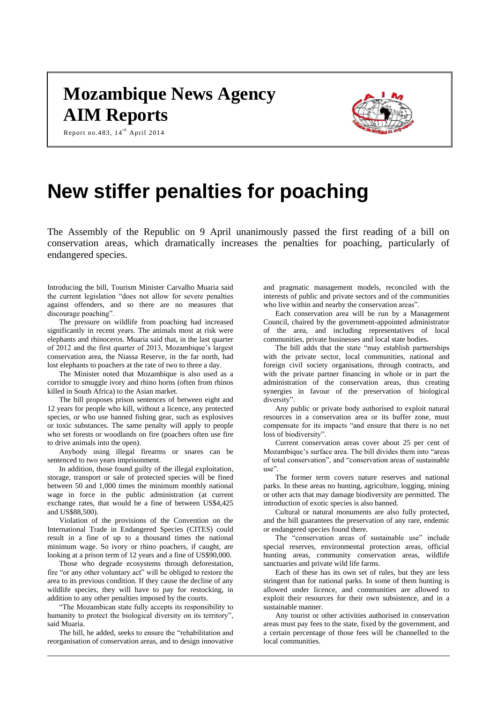# **Mozambique News Agency AIM Reports**



Report no.483,  $14^{th}$  April 2014

# **New stiffer penalties for poaching**

The Assembly of the Republic on 9 April unanimously passed the first reading of a bill on conservation areas, which dramatically increases the penalties for poaching, particularly of endangered species.

Introducing the bill, Tourism Minister Carvalho Muaria said the current legislation "does not allow for severe penalties against offenders, and so there are no measures that discourage poaching".

The pressure on wildlife from poaching had increased significantly in recent years. The animals most at risk were elephants and rhinoceros. Muaria said that, in the last quarter of 2012 and the first quarter of 2013, Mozambique's largest conservation area, the Niassa Reserve, in the far north, had lost elephants to poachers at the rate of two to three a day.

The Minister noted that Mozambique is also used as a corridor to smuggle ivory and rhino horns (often from rhinos killed in South Africa) to the Asian market.

The bill proposes prison sentences of between eight and 12 years for people who kill, without a licence, any protected species, or who use banned fishing gear, such as explosives or toxic substances. The same penalty will apply to people who set forests or woodlands on fire (poachers often use fire to drive animals into the open).

Anybody using illegal firearms or snares can be sentenced to two years imprisonment.

In addition, those found guilty of the illegal exploitation, storage, transport or sale of protected species will be fined between 50 and 1,000 times the minimum monthly national wage in force in the public administration (at current exchange rates, that would be a fine of between US\$4,425 and US\$88,500).

Violation of the provisions of the Convention on the International Trade in Endangered Species (CITES) could result in a fine of up to a thousand times the national minimum wage. So ivory or rhino poachers, if caught, are looking at a prison term of 12 years and a fine of US\$90,000.

Those who degrade ecosystems through deforestation, fire "or any other voluntary act" will be obliged to restore the area to its previous condition. If they cause the decline of any wildlife species, they will have to pay for restocking, in addition to any other penalties imposed by the courts.

"The Mozambican state fully accepts its responsibility to humanity to protect the biological diversity on its territory", said Muaria.

The bill, he added, seeks to ensure the "rehabilitation and reorganisation of conservation areas, and to design innovative

and pragmatic management models, reconciled with the interests of public and private sectors and of the communities who live within and nearby the conservation areas".

Each conservation area will be run by a Management Council, chaired by the government-appointed administrator of the area, and including representatives of local communities, private businesses and local state bodies.

The bill adds that the state "may establish partnerships with the private sector, local communities, national and foreign civil society organisations, through contracts, and with the private partner financing in whole or in part the administration of the conservation areas, thus creating synergies in favour of the preservation of biological diversity".

Any public or private body authorised to exploit natural resources in a conservation area or its buffer zone, must compensate for its impacts "and ensure that there is no net loss of biodiversity".

Current conservation areas cover about 25 per cent of Mozambique's surface area. The bill divides them into "areas of total conservation", and "conservation areas of sustainable use".

The former term covers nature reserves and national parks. In these areas no hunting, agriculture, logging, mining or other acts that may damage biodiversity are permitted. The introduction of exotic species is also banned.

Cultural or natural monuments are also fully protected, and the bill guarantees the preservation of any rare, endemic or endangered species found there.

The "conservation areas of sustainable use" include special reserves, environmental protection areas, official hunting areas, community conservation areas, wildlife sanctuaries and private wild life farms.

Each of these has its own set of rules, but they are less stringent than for national parks. In some of them hunting is allowed under licence, and communities are allowed to exploit their resources for their own subsistence, and in a sustainable manner.

Any tourist or other activities authorised in conservation areas must pay fees to the state, fixed by the government, and a certain percentage of those fees will be channelled to the local communities.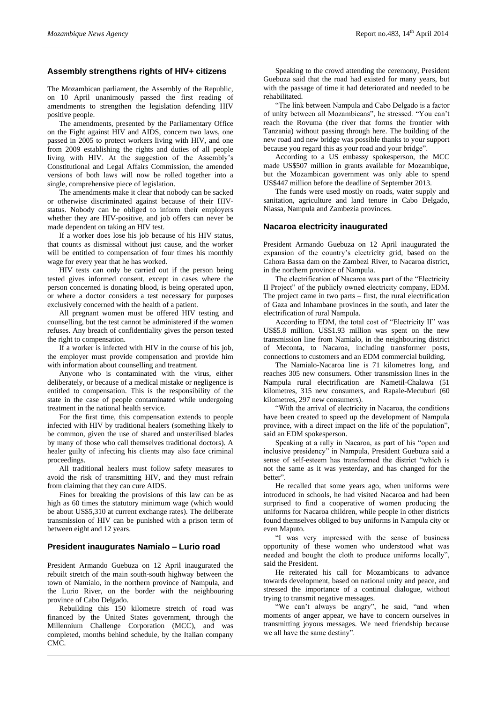# **Assembly strengthens rights of HIV+ citizens**

The Mozambican parliament, the Assembly of the Republic, on 10 April unanimously passed the first reading of amendments to strengthen the legislation defending HIV positive people.

The amendments, presented by the Parliamentary Office on the Fight against HIV and AIDS, concern two laws, one passed in 2005 to protect workers living with HIV, and one from 2009 establishing the rights and duties of all people living with HIV. At the suggestion of the Assembly's Constitutional and Legal Affairs Commission, the amended versions of both laws will now be rolled together into a single, comprehensive piece of legislation.

The amendments make it clear that nobody can be sacked or otherwise discriminated against because of their HIVstatus. Nobody can be obliged to inform their employers whether they are HIV-positive, and job offers can never be made dependent on taking an HIV test.

If a worker does lose his job because of his HIV status, that counts as dismissal without just cause, and the worker will be entitled to compensation of four times his monthly wage for every year that he has worked.

HIV tests can only be carried out if the person being tested gives informed consent, except in cases where the person concerned is donating blood, is being operated upon, or where a doctor considers a test necessary for purposes exclusively concerned with the health of a patient.

All pregnant women must be offered HIV testing and counselling, but the test cannot be administered if the women refuses. Any breach of confidentiality gives the person tested the right to compensation.

If a worker is infected with HIV in the course of his job, the employer must provide compensation and provide him with information about counselling and treatment.

Anyone who is contaminated with the virus, either deliberately, or because of a medical mistake or negligence is entitled to compensation. This is the responsibility of the state in the case of people contaminated while undergoing treatment in the national health service.

For the first time, this compensation extends to people infected with HIV by traditional healers (something likely to be common, given the use of shared and unsterilised blades by many of those who call themselves traditional doctors). A healer guilty of infecting his clients may also face criminal proceedings.

All traditional healers must follow safety measures to avoid the risk of transmitting HIV, and they must refrain from claiming that they can cure AIDS.

Fines for breaking the provisions of this law can be as high as 60 times the statutory minimum wage (which would be about US\$5,310 at current exchange rates). The deliberate transmission of HIV can be punished with a prison term of between eight and 12 years.

#### **President inaugurates Namialo – Lurio road**

President Armando Guebuza on 12 April inaugurated the rebuilt stretch of the main south-south highway between the town of Namialo, in the northern province of Nampula, and the Lurio River, on the border with the neighbouring province of Cabo Delgado.

Rebuilding this 150 kilometre stretch of road was financed by the United States government, through the Millennium Challenge Corporation (MCC), and was completed, months behind schedule, by the Italian company CMC.

Speaking to the crowd attending the ceremony, President Guebuza said that the road had existed for many years, but with the passage of time it had deteriorated and needed to be rehabilitated.

"The link between Nampula and Cabo Delgado is a factor of unity between all Mozambicans", he stressed. "You can't reach the Rovuma (the river that forms the frontier with Tanzania) without passing through here. The building of the new road and new bridge was possible thanks to your support because you regard this as your road and your bridge".

According to a US embassy spokesperson, the MCC made US\$507 million in grants available for Mozambique, but the Mozambican government was only able to spend US\$447 million before the deadline of September 2013.

The funds were used mostly on roads, water supply and sanitation, agriculture and land tenure in Cabo Delgado, Niassa, Nampula and Zambezia provinces.

#### **Nacaroa electricity inaugurated**

President Armando Guebuza on 12 April inaugurated the expansion of the country's electricity grid, based on the Cahora Bassa dam on the Zambezi River, to Nacaroa district, in the northern province of Nampula.

The electrification of Nacaroa was part of the "Electricity II Project" of the publicly owned electricity company, EDM. The project came in two parts – first, the rural electrification of Gaza and Inhambane provinces in the south, and later the electrification of rural Nampula.

According to EDM, the total cost of "Electricity II" was US\$5.8 million. US\$1.93 million was spent on the new transmission line from Namialo, in the neighbouring district of Meconta, to Nacaroa, including transformer posts, connections to customers and an EDM commercial building.

The Namialo-Nacaroa line is 71 kilometres long, and reaches 305 new consumers. Other transmission lines in the Nampula rural electrification are Nametil-Chalawa (51 kilometres, 315 new consumers, and Rapale-Mecuburi (60 kilometres, 297 new consumers).

"With the arrival of electricity in Nacaroa, the conditions have been created to speed up the development of Nampula province, with a direct impact on the life of the population", said an EDM spokesperson.

Speaking at a rally in Nacaroa, as part of his "open and inclusive presidency" in Nampula, President Guebuza said a sense of self-esteem has transformed the district "which is not the same as it was yesterday, and has changed for the better".

He recalled that some years ago, when uniforms were introduced in schools, he had visited Nacaroa and had been surprised to find a cooperative of women producing the uniforms for Nacaroa children, while people in other districts found themselves obliged to buy uniforms in Nampula city or even Maputo.

"I was very impressed with the sense of business opportunity of these women who understood what was needed and bought the cloth to produce uniforms locally", said the President.

He reiterated his call for Mozambicans to advance towards development, based on national unity and peace, and stressed the importance of a continual dialogue, without trying to transmit negative messages.

"We can't always be angry", he said, "and when moments of anger appear, we have to concern ourselves in transmitting joyous messages. We need friendship because we all have the same destiny".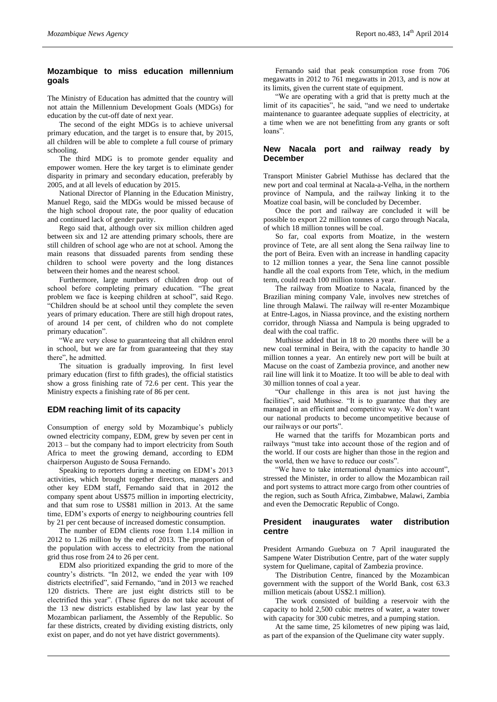# **Mozambique to miss education millennium goals**

The Ministry of Education has admitted that the country will not attain the Millennium Development Goals (MDGs) for education by the cut-off date of next year.

The second of the eight MDGs is to achieve universal primary education, and the target is to ensure that, by 2015, all children will be able to complete a full course of primary schooling.

The third MDG is to promote gender equality and empower women. Here the key target is to eliminate gender disparity in primary and secondary education, preferably by 2005, and at all levels of education by 2015.

National Director of Planning in the Education Ministry, Manuel Rego, said the MDGs would be missed because of the high school dropout rate, the poor quality of education and continued lack of gender parity.

Rego said that, although over six million children aged between six and 12 are attending primary schools, there are still children of school age who are not at school. Among the main reasons that dissuaded parents from sending these children to school were poverty and the long distances between their homes and the nearest school.

Furthermore, large numbers of children drop out of school before completing primary education. "The great problem we face is keeping children at school", said Rego. "Children should be at school until they complete the seven years of primary education. There are still high dropout rates, of around 14 per cent, of children who do not complete primary education".

"We are very close to guaranteeing that all children enrol in school, but we are far from guaranteeing that they stay there", he admitted.

The situation is gradually improving. In first level primary education (first to fifth grades), the official statistics show a gross finishing rate of 72.6 per cent. This year the Ministry expects a finishing rate of 86 per cent.

# **EDM reaching limit of its capacity**

Consumption of energy sold by Mozambique's publicly owned electricity company, EDM, grew by seven per cent in 2013 – but the company had to import electricity from South Africa to meet the growing demand, according to EDM chairperson Augusto de Sousa Fernando.

Speaking to reporters during a meeting on EDM's 2013 activities, which brought together directors, managers and other key EDM staff, Fernando said that in 2012 the company spent about US\$75 million in importing electricity, and that sum rose to US\$81 million in 2013. At the same time, EDM's exports of energy to neighbouring countries fell by 21 per cent because of increased domestic consumption.

The number of EDM clients rose from 1.14 million in 2012 to 1.26 million by the end of 2013. The proportion of the population with access to electricity from the national grid thus rose from 24 to 26 per cent.

EDM also prioritized expanding the grid to more of the country's districts. "In 2012, we ended the year with 109 districts electrified", said Fernando, "and in 2013 we reached 120 districts. There are just eight districts still to be electrified this year". (These figures do not take account of the 13 new districts established by law last year by the Mozambican parliament, the Assembly of the Republic. So far these districts, created by dividing existing districts, only exist on paper, and do not yet have district governments).

Fernando said that peak consumption rose from 706 megawatts in 2012 to 761 megawatts in 2013, and is now at its limits, given the current state of equipment.

"We are operating with a grid that is pretty much at the limit of its capacities", he said, "and we need to undertake maintenance to guarantee adequate supplies of electricity, at a time when we are not benefitting from any grants or soft loans".

#### **New Nacala port and railway ready by December**

Transport Minister Gabriel Muthisse has declared that the new port and coal terminal at Nacala-a-Velha, in the northern province of Nampula, and the railway linking it to the Moatize coal basin, will be concluded by December.

Once the port and railway are concluded it will be possible to export 22 million tonnes of cargo through Nacala, of which 18 million tonnes will be coal.

So far, coal exports from Moatize, in the western province of Tete, are all sent along the Sena railway line to the port of Beira. Even with an increase in handling capacity to 12 million tonnes a year, the Sena line cannot possible handle all the coal exports from Tete, which, in the medium term, could reach 100 million tonnes a year.

The railway from Moatize to Nacala, financed by the Brazilian mining company Vale, involves new stretches of line through Malawi. The railway will re-enter Mozambique at Entre-Lagos, in Niassa province, and the existing northern corridor, through Niassa and Nampula is being upgraded to deal with the coal traffic.

Muthisse added that in 18 to 20 months there will be a new coal terminal in Beira, with the capacity to handle 30 million tonnes a year. An entirely new port will be built at Macuse on the coast of Zambezia province, and another new rail line will link it to Moatize. It too will be able to deal with 30 million tonnes of coal a year.

"Our challenge in this area is not just having the facilities", said Muthisse. "It is to guarantee that they are managed in an efficient and competitive way. We don't want our national products to become uncompetitive because of our railways or our ports".

He warned that the tariffs for Mozambican ports and railways "must take into account those of the region and of the world. If our costs are higher than those in the region and the world, then we have to reduce our costs".

"We have to take international dynamics into account", stressed the Minister, in order to allow the Mozambican rail and port systems to attract more cargo from other countries of the region, such as South Africa, Zimbabwe, Malawi, Zambia and even the Democratic Republic of Congo.

## **President inaugurates water distribution centre**

President Armando Guebuza on 7 April inaugurated the Sampene Water Distribution Centre, part of the water supply system for Quelimane, capital of Zambezia province.

The Distribution Centre, financed by the Mozambican government with the support of the World Bank, cost 63.3 million meticais (about US\$2.1 million).

The work consisted of building a reservoir with the capacity to hold 2,500 cubic metres of water, a water tower with capacity for 300 cubic metres, and a pumping station.

At the same time, 25 kilometres of new piping was laid, as part of the expansion of the Quelimane city water supply.